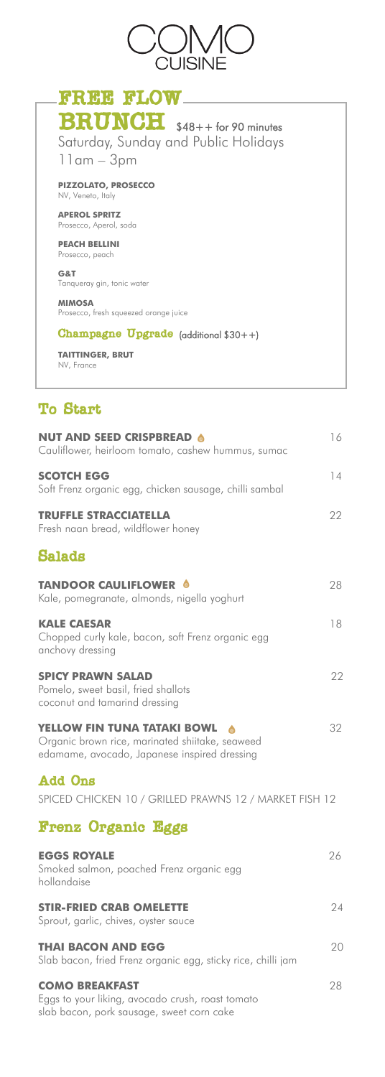

Saturday, Sunday and Public Holidays 11am – 3pm **PIZZOLATO, PROSECCO** NV, Veneto, Italy **APEROL SPRITZ**  Prosecco, Aperol, soda **PEACH BELLINI** Prosecco, peach **G&T** Tanqueray gin, tonic water **MIMOSA** Prosecco, fresh squeezed orange juice Champagne Upgrade (additional \$30++) **TAITTINGER, BRUT** NV, France To Start **NUT AND SEED CRISPBREAD 6** 16 Cauliflower, heirloom tomato, cashew hummus, sumac **SCOTCH EGG** 14 Soft Frenz organic egg, chicken sausage, chilli sambal **TRUFFLE STRACCIATELLA** 22 Fresh naan bread, wildflower honey Salads **TANDOOR CAULIFLOWER 6** 28 FREE FLOW BRUNCH \$48++ for 90 minutes

Kale, pomegranate, almonds, nigella yoghurt **KALE CAESAR** 18 Chopped curly kale, bacon, soft Frenz organic egg anchovy dressing

**SPICY PRAWN SALAD** 22 Pomelo, sweet basil, fried shallots coconut and tamarind dressing

#### **YELLOW FIN TUNA TATAKI BOWL** 32 Organic brown rice, marinated shiitake, seaweed edamame, avocado, Japanese inspired dressing

Add Ons

SPICED CHICKEN 10 / GRILLED PRAWNS 12 / MARKET FISH 12

| <b>Frenz Organic Eggs</b>                                                                                              |    |
|------------------------------------------------------------------------------------------------------------------------|----|
| <b>EGGS ROYALE</b><br>Smoked salmon, poached Frenz organic egg<br>hollandaise                                          | 26 |
| <b>STIR-FRIED CRAB OMELETTE</b><br>Sprout, garlic, chives, oyster sauce                                                | 24 |
| <b>THAI BACON AND EGG</b><br>Slab bacon, fried Frenz organic egg, sticky rice, chilli jam                              | 20 |
| <b>COMO BREAKFAST</b><br>Eggs to your liking, avocado crush, roast tomato<br>slab bacon, pork sausage, sweet corn cake | 28 |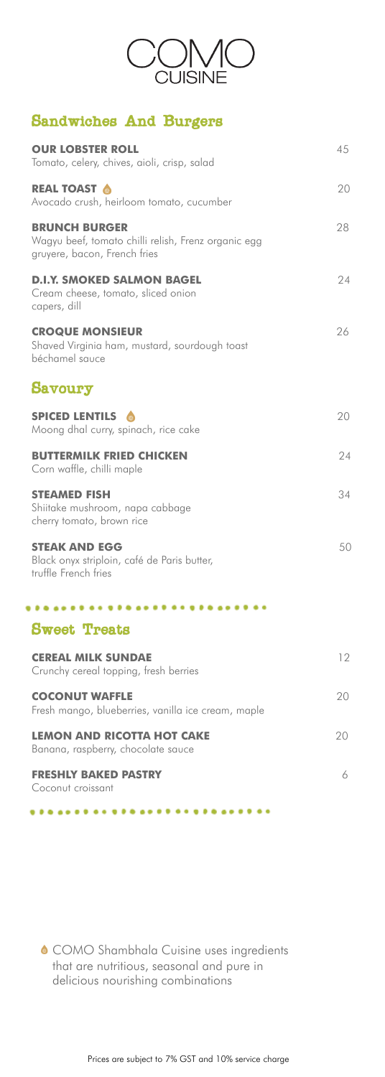

# Sandwiches And Burgers

| <b>OUR LOBSTER ROLL</b><br>Tomato, celery, chives, aioli, crisp, salad                                      | 45 |
|-------------------------------------------------------------------------------------------------------------|----|
| <b>REAL TOAST &amp;</b><br>Avocado crush, heirloom tomato, cucumber                                         | 20 |
| <b>BRUNCH BURGER</b><br>Wagyu beef, tomato chilli relish, Frenz organic egg<br>gruyere, bacon, French fries | 28 |
| <b>D.I.Y. SMOKED SALMON BAGEL</b><br>Cream cheese, tomato, sliced onion<br>capers, dill                     | 24 |
| <b>CROQUE MONSIEUR</b><br>Shaved Virginia ham, mustard, sourdough toast<br>béchamel sauce                   | 26 |
| <b>Savoury</b>                                                                                              |    |
| <b>SPICED LENTILS</b><br>Moong dhal curry, spinach, rice cake                                               | 20 |
| <b>BUTTERMILK FRIED CHICKEN</b><br>Corn waffle, chilli maple                                                | 24 |
| <b>STEAMED FISH</b><br>Shiitake mushroom, napa cabbage<br>cherry tomato, brown rice                         | 34 |
| <b>STEAK AND EGG</b><br>Black onyx striploin, café de Paris butter,<br>truffle French fries                 | 50 |
|                                                                                                             |    |
| <b>Sweet Treats</b>                                                                                         |    |
| <b>CEREAL MILK SUNDAE</b><br>Crunchy cereal topping, fresh berries                                          | 12 |
| <b>COCONUT WAFFLE</b><br>Fresh mango, blueberries, vanilla ice cream, maple                                 | 20 |
| <b>LEMON AND RICOTTA HOT CAKE</b><br>Banana, raspberry, chocolate sauce                                     | 20 |
| <b>FRESHLY BAKED PASTRY</b><br>Coconut croissant                                                            | 6  |

....  $\bullet\bullet\bullet$ 

¢

Prices are subject to 7% GST and 10% service charge

COMO Shambhala Cuisine uses ingredients that are nutritious, seasonal and pure in delicious nourishing combinations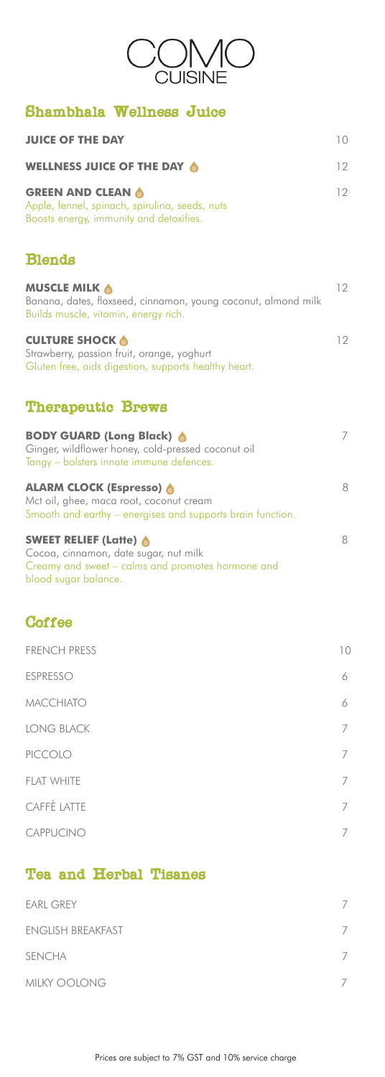| CUISINE                                                                                                                                             |                 |
|-----------------------------------------------------------------------------------------------------------------------------------------------------|-----------------|
| Shambhala Wellness Juice                                                                                                                            |                 |
| <b>JUICE OF THE DAY</b>                                                                                                                             | 10 <sup>°</sup> |
| WELLNESS JUICE OF THE DAY 6                                                                                                                         | 12              |
| <b>GREEN AND CLEAN 6</b><br>Apple, fennel, spinach, spirulina, seeds, nuts<br>Boosts energy, immunity and detoxifies.                               | 12              |
| <b>Blends</b>                                                                                                                                       |                 |
| <b>MUSCLE MILK &amp;</b><br>Banana, dates, flaxseed, cinnamon, young coconut, almond milk<br>Builds muscle, vitamin, energy rich.                   | 12              |
| <b>CULTURE SHOCK &amp;</b><br>Strawberry, passion fruit, orange, yoghurt<br>Gluten free, aids digestion, supports healthy heart.                    | 12              |
| <b>Therapeutic Brews</b>                                                                                                                            |                 |
| <b>BODY GUARD (Long Black)</b><br>Ginger, wildflower honey, cold-pressed coconut oil<br>Tangy – bolsters innate immune defences.                    | 7               |
| <b>ALARM CLOCK (Espresso) @</b><br>Mct oil, ghee, maca root, coconut cream<br>Smooth and earthy – energises and supports brain function.            | 8               |
| <b>SWEET RELIEF (Latte) @</b><br>Cocoa, cinnamon, date sugar, nut milk<br>Creamy and sweet – calms and promotes hormone and<br>blood sugar balance. | 8               |
| Coffee                                                                                                                                              |                 |
| <b>FRENCH PRESS</b>                                                                                                                                 | 10              |
| <b>ESPRESSO</b>                                                                                                                                     | 6               |
| <b>MACCHIATO</b>                                                                                                                                    | 6               |
| <b>LONG BLACK</b>                                                                                                                                   | 7               |
| PICCOLO                                                                                                                                             | 7               |

FLAT WHITE 7 CAFFÈ LATTE 7

| <b>EARL GREY</b>         |  |
|--------------------------|--|
| <b>ENGLISH BREAKFAST</b> |  |
| <b>SENCHA</b>            |  |
| MILKY OOLONG             |  |



## Tea and Herbal Tisanes

Prices are subject to 7% GST and 10% service charge